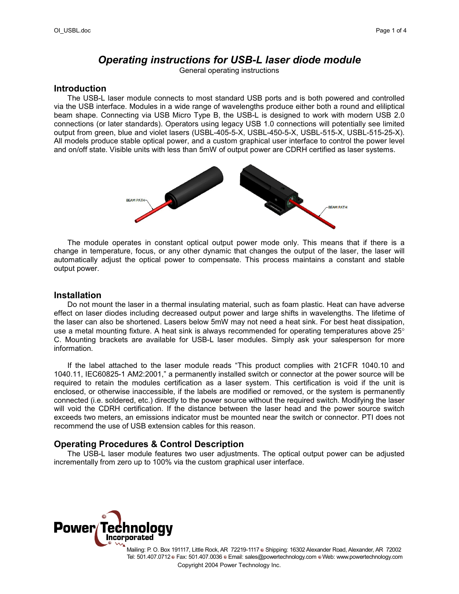# *Operating instructions for USB-L laser diode module*

General operating instructions

#### **Introduction**

The USB-L laser module connects to most standard USB ports and is both powered and controlled via the USB interface. Modules in a wide range of wavelengths produce either both a round and eliliptical beam shape. Connecting via USB Micro Type B, the USB-L is designed to work with modern USB 2.0 connections (or later standards). Operators using legacy USB 1.0 connections will potentially see limited output from green, blue and violet lasers (USBL-405-5-X, USBL-450-5-X, USBL-515-X, USBL-515-25-X). All models produce stable optical power, and a custom graphical user interface to control the power level and on/off state. Visible units with less than 5mW of output power are CDRH certified as laser systems.



The module operates in constant optical output power mode only. This means that if there is a change in temperature, focus, or any other dynamic that changes the output of the laser, the laser will automatically adjust the optical power to compensate. This process maintains a constant and stable output power.

#### **Installation**

Do not mount the laser in a thermal insulating material, such as foam plastic. Heat can have adverse effect on laser diodes including decreased output power and large shifts in wavelengths. The lifetime of the laser can also be shortened. Lasers below 5mW may not need a heat sink. For best heat dissipation, use a metal mounting fixture. A heat sink is always recommended for operating temperatures above 25° C. Mounting brackets are available for USB-L laser modules. Simply ask your salesperson for more information.

If the label attached to the laser module reads "This product complies with 21CFR 1040.10 and 1040.11, IEC60825-1 AM2:2001," a permanently installed switch or connector at the power source will be required to retain the modules certification as a laser system. This certification is void if the unit is enclosed, or otherwise inaccessible, if the labels are modified or removed, or the system is permanently connected (i.e. soldered, etc.) directly to the power source without the required switch. Modifying the laser will void the CDRH certification. If the distance between the laser head and the power source switch exceeds two meters, an emissions indicator must be mounted near the switch or connector. PTI does not recommend the use of USB extension cables for this reason.

## **Operating Procedures & Control Description**

The USB-L laser module features two user adjustments. The optical output power can be adjusted incrementally from zero up to 100% via the custom graphical user interface.

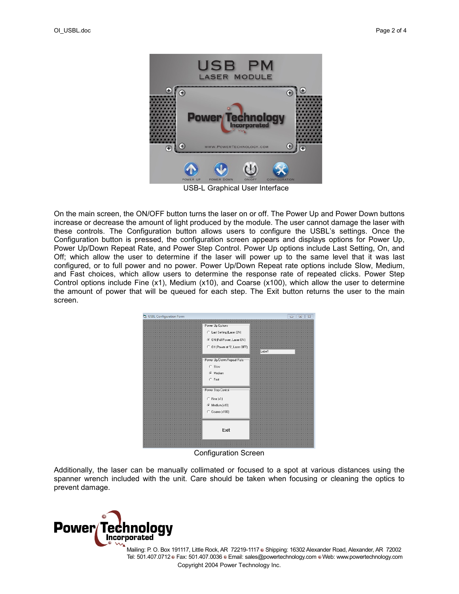

USB-L Graphical User Interface

On the main screen, the ON/OFF button turns the laser on or off. The Power Up and Power Down buttons increase or decrease the amount of light produced by the module. The user cannot damage the laser with these controls. The Configuration button allows users to configure the USBL's settings. Once the Configuration button is pressed, the configuration screen appears and displays options for Power Up, Power Up/Down Repeat Rate, and Power Step Control. Power Up options include Last Setting, On, and Off; which allow the user to determine if the laser will power up to the same level that it was last configured, or to full power and no power. Power Up/Down Repeat rate options include Slow, Medium, and Fast choices, which allow users to determine the response rate of repeated clicks. Power Step Control options include Fine (x1), Medium (x10), and Coarse (x100), which allow the user to determine the amount of power that will be queued for each step. The Exit button returns the user to the main screen.



Configuration Screen

Additionally, the laser can be manually collimated or focused to a spot at various distances using the spanner wrench included with the unit. Care should be taken when focusing or cleaning the optics to prevent damage.

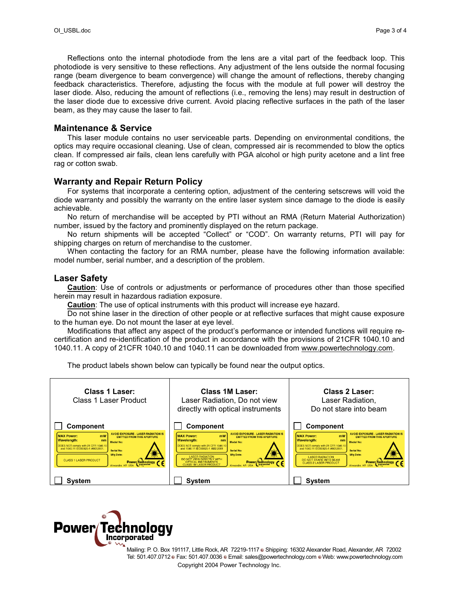Reflections onto the internal photodiode from the lens are a vital part of the feedback loop. This photodiode is very sensitive to these reflections. Any adjustment of the lens outside the normal focusing range (beam divergence to beam convergence) will change the amount of reflections, thereby changing feedback characteristics. Therefore, adjusting the focus with the module at full power will destroy the laser diode. Also, reducing the amount of reflections (i.e., removing the lens) may result in destruction of the laser diode due to excessive drive current. Avoid placing reflective surfaces in the path of the laser beam, as they may cause the laser to fail.

#### **Maintenance & Service**

This laser module contains no user serviceable parts. Depending on environmental conditions, the optics may require occasional cleaning. Use of clean, compressed air is recommended to blow the optics clean. If compressed air fails, clean lens carefully with PGA alcohol or high purity acetone and a lint free rag or cotton swab.

## **Warranty and Repair Return Policy**

For systems that incorporate a centering option, adjustment of the centering setscrews will void the diode warranty and possibly the warranty on the entire laser system since damage to the diode is easily achievable.

No return of merchandise will be accepted by PTI without an RMA (Return Material Authorization) number, issued by the factory and prominently displayed on the return package.

No return shipments will be accepted "Collect" or "COD". On warranty returns, PTI will pay for shipping charges on return of merchandise to the customer.

When contacting the factory for an RMA number, please have the following information available: model number, serial number, and a description of the problem.

## **Laser Safety**

**Caution**: Use of controls or adjustments or performance of procedures other than those specified herein may result in hazardous radiation exposure.

**Caution**: The use of optical instruments with this product will increase eye hazard.

Do not shine laser in the direction of other people or at reflective surfaces that might cause exposure to the human eye. Do not mount the laser at eye level.

Modifications that affect any aspect of the product's performance or intended functions will require recertification and re-identification of the product in accordance with the provisions of 21CFR 1040.10 and 1040.11. A copy of 21CFR 1040.10 and 1040.11 can be downloaded from [www.powertechnology.com.](http://www.powertechnology.com/)

The product labels shown below can typically be found near the output optics.